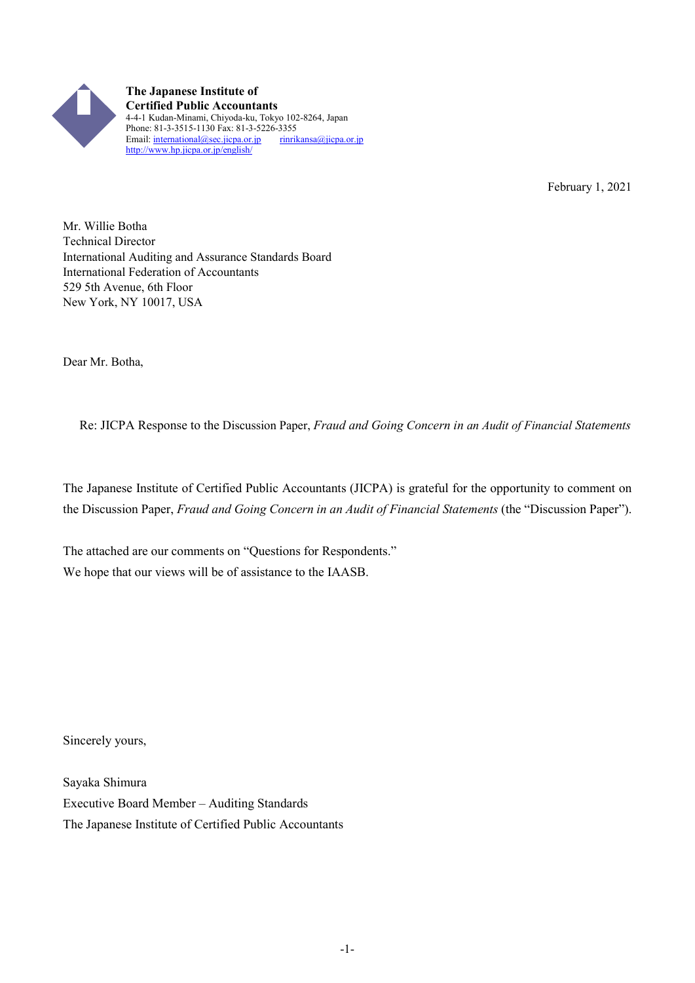

**The Japanese Institute of Certified Public Accountants** 4-4-1 Kudan-Minami, Chiyoda-ku, Tokyo 102-8264, Japan Phone: 81-3-3515-1130 Fax: 81-3-5226-3355<br>Email: international@sec.jicpa.or.jp rinrikansa@jicpa.or.jp Email: international@sec.jicpa.or.jp http://www.hp.jicpa.or.jp/english/

February 1, 2021

Mr. Willie Botha Technical Director International Auditing and Assurance Standards Board International Federation of Accountants 529 5th Avenue, 6th Floor New York, NY 10017, USA

Dear Mr. Botha,

Re: JICPA Response to the Discussion Paper, *Fraud and Going Concern in an Audit of Financial Statements*

The Japanese Institute of Certified Public Accountants (JICPA) is grateful for the opportunity to comment on the Discussion Paper, *Fraud and Going Concern in an Audit of Financial Statements* (the "Discussion Paper").

The attached are our comments on "Questions for Respondents." We hope that our views will be of assistance to the IAASB.

Sincerely yours,

Sayaka Shimura Executive Board Member – Auditing Standards The Japanese Institute of Certified Public Accountants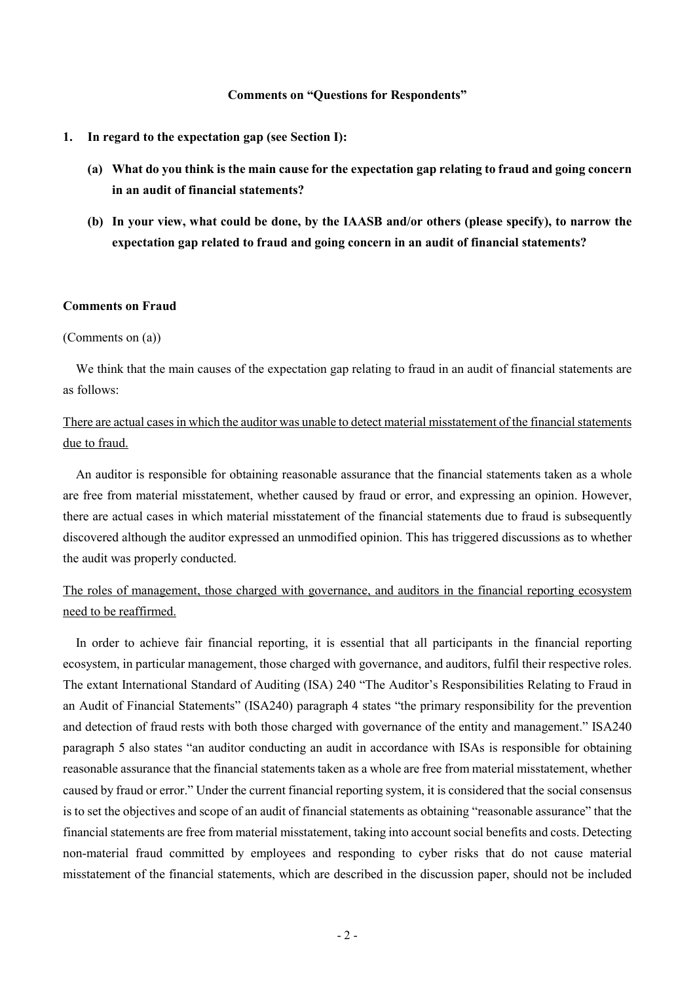#### **Comments on "Questions for Respondents"**

- **1. In regard to the expectation gap (see Section I):**
	- **(a) What do you think is the main cause for the expectation gap relating to fraud and going concern in an audit of financial statements?**
	- **(b) In your view, what could be done, by the IAASB and/or others (please specify), to narrow the expectation gap related to fraud and going concern in an audit of financial statements?**

## **Comments on Fraud**

### (Comments on (a))

We think that the main causes of the expectation gap relating to fraud in an audit of financial statements are as follows:

## There are actual cases in which the auditor was unable to detect material misstatement of the financial statements due to fraud.

An auditor is responsible for obtaining reasonable assurance that the financial statements taken as a whole are free from material misstatement, whether caused by fraud or error, and expressing an opinion. However, there are actual cases in which material misstatement of the financial statements due to fraud is subsequently discovered although the auditor expressed an unmodified opinion. This has triggered discussions as to whether the audit was properly conducted.

## The roles of management, those charged with governance, and auditors in the financial reporting ecosystem need to be reaffirmed.

In order to achieve fair financial reporting, it is essential that all participants in the financial reporting ecosystem, in particular management, those charged with governance, and auditors, fulfil their respective roles. The extant International Standard of Auditing (ISA) 240 "The Auditor's Responsibilities Relating to Fraud in an Audit of Financial Statements" (ISA240) paragraph 4 states "the primary responsibility for the prevention and detection of fraud rests with both those charged with governance of the entity and management." ISA240 paragraph 5 also states "an auditor conducting an audit in accordance with ISAs is responsible for obtaining reasonable assurance that the financial statements taken as a whole are free from material misstatement, whether caused by fraud or error." Under the current financial reporting system, it is considered that the social consensus is to set the objectives and scope of an audit of financial statements as obtaining "reasonable assurance" that the financial statements are free from material misstatement, taking into account social benefits and costs. Detecting non-material fraud committed by employees and responding to cyber risks that do not cause material misstatement of the financial statements, which are described in the discussion paper, should not be included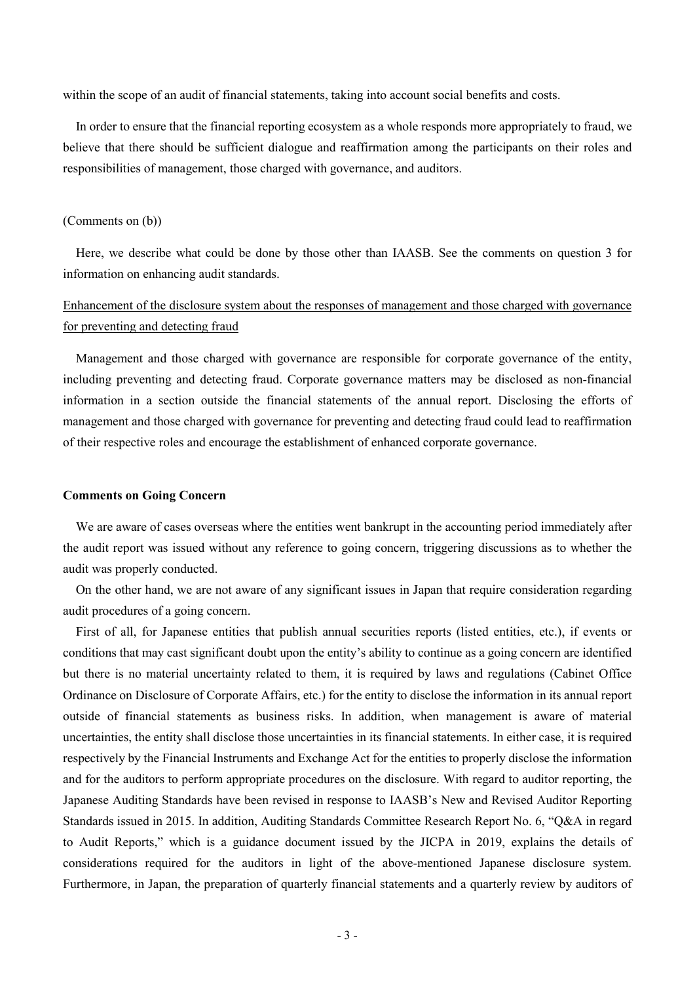within the scope of an audit of financial statements, taking into account social benefits and costs.

In order to ensure that the financial reporting ecosystem as a whole responds more appropriately to fraud, we believe that there should be sufficient dialogue and reaffirmation among the participants on their roles and responsibilities of management, those charged with governance, and auditors.

#### (Comments on (b))

Here, we describe what could be done by those other than IAASB. See the comments on question 3 for information on enhancing audit standards.

# Enhancement of the disclosure system about the responses of management and those charged with governance for preventing and detecting fraud

Management and those charged with governance are responsible for corporate governance of the entity, including preventing and detecting fraud. Corporate governance matters may be disclosed as non-financial information in a section outside the financial statements of the annual report. Disclosing the efforts of management and those charged with governance for preventing and detecting fraud could lead to reaffirmation of their respective roles and encourage the establishment of enhanced corporate governance.

#### **Comments on Going Concern**

We are aware of cases overseas where the entities went bankrupt in the accounting period immediately after the audit report was issued without any reference to going concern, triggering discussions as to whether the audit was properly conducted.

On the other hand, we are not aware of any significant issues in Japan that require consideration regarding audit procedures of a going concern.

First of all, for Japanese entities that publish annual securities reports (listed entities, etc.), if events or conditions that may cast significant doubt upon the entity's ability to continue as a going concern are identified but there is no material uncertainty related to them, it is required by laws and regulations (Cabinet Office Ordinance on Disclosure of Corporate Affairs, etc.) for the entity to disclose the information in its annual report outside of financial statements as business risks. In addition, when management is aware of material uncertainties, the entity shall disclose those uncertainties in its financial statements. In either case, it is required respectively by the Financial Instruments and Exchange Act for the entities to properly disclose the information and for the auditors to perform appropriate procedures on the disclosure. With regard to auditor reporting, the Japanese Auditing Standards have been revised in response to IAASB's New and Revised Auditor Reporting Standards issued in 2015. In addition, Auditing Standards Committee Research Report No. 6, "Q&A in regard to Audit Reports," which is a guidance document issued by the JICPA in 2019, explains the details of considerations required for the auditors in light of the above-mentioned Japanese disclosure system. Furthermore, in Japan, the preparation of quarterly financial statements and a quarterly review by auditors of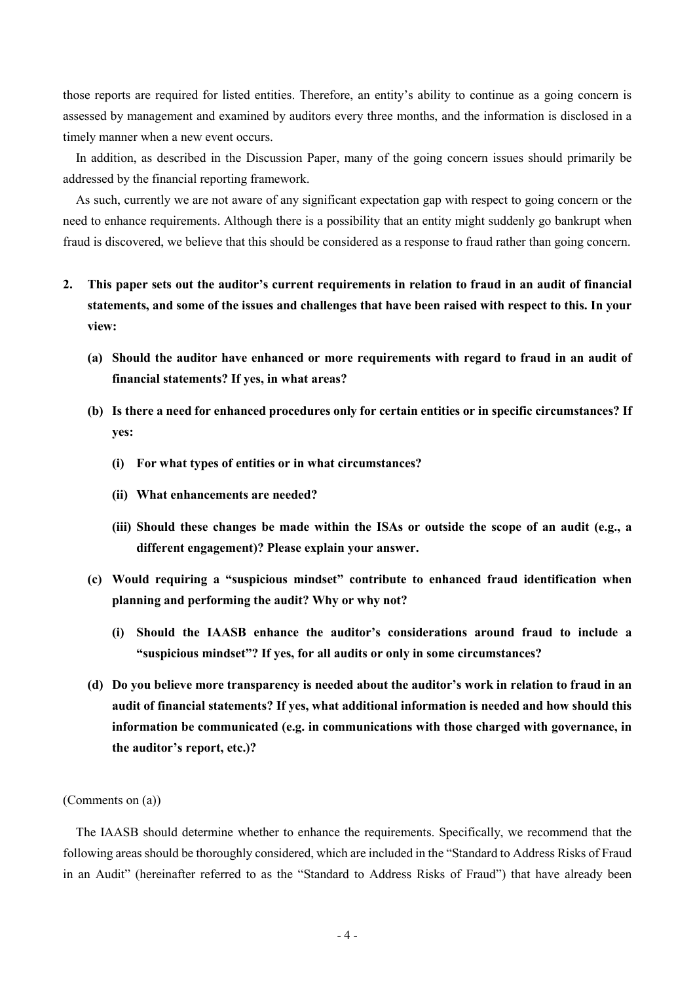those reports are required for listed entities. Therefore, an entity's ability to continue as a going concern is assessed by management and examined by auditors every three months, and the information is disclosed in a timely manner when a new event occurs.

In addition, as described in the Discussion Paper, many of the going concern issues should primarily be addressed by the financial reporting framework.

As such, currently we are not aware of any significant expectation gap with respect to going concern or the need to enhance requirements. Although there is a possibility that an entity might suddenly go bankrupt when fraud is discovered, we believe that this should be considered as a response to fraud rather than going concern.

- **2. This paper sets out the auditor's current requirements in relation to fraud in an audit of financial statements, and some of the issues and challenges that have been raised with respect to this. In your view:**
	- **(a) Should the auditor have enhanced or more requirements with regard to fraud in an audit of financial statements? If yes, in what areas?**
	- **(b) Is there a need for enhanced procedures only for certain entities or in specific circumstances? If yes:**
		- **(i) For what types of entities or in what circumstances?**
		- **(ii) What enhancements are needed?**
		- **(iii) Should these changes be made within the ISAs or outside the scope of an audit (e.g., a different engagement)? Please explain your answer.**
	- **(c) Would requiring a "suspicious mindset" contribute to enhanced fraud identification when planning and performing the audit? Why or why not?**
		- **(i) Should the IAASB enhance the auditor's considerations around fraud to include a "suspicious mindset"? If yes, for all audits or only in some circumstances?**
	- **(d) Do you believe more transparency is needed about the auditor's work in relation to fraud in an audit of financial statements? If yes, what additional information is needed and how should this information be communicated (e.g. in communications with those charged with governance, in the auditor's report, etc.)?**

### (Comments on (a))

The IAASB should determine whether to enhance the requirements. Specifically, we recommend that the following areas should be thoroughly considered, which are included in the "Standard to Address Risks of Fraud in an Audit" (hereinafter referred to as the "Standard to Address Risks of Fraud") that have already been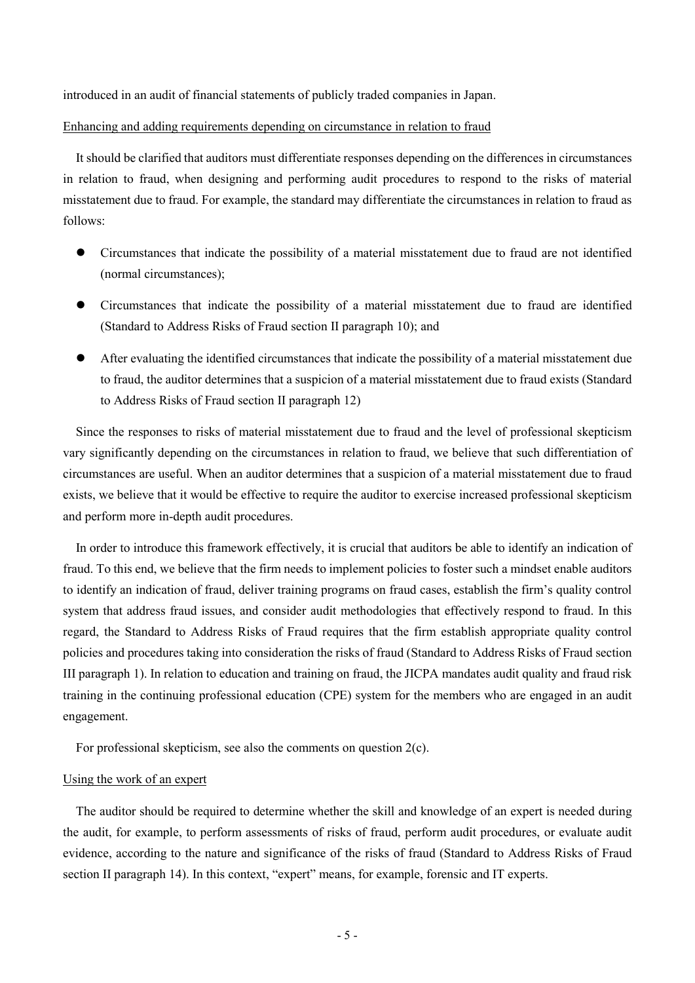introduced in an audit of financial statements of publicly traded companies in Japan.

## Enhancing and adding requirements depending on circumstance in relation to fraud

It should be clarified that auditors must differentiate responses depending on the differences in circumstances in relation to fraud, when designing and performing audit procedures to respond to the risks of material misstatement due to fraud. For example, the standard may differentiate the circumstances in relation to fraud as follows:

- Circumstances that indicate the possibility of a material misstatement due to fraud are not identified (normal circumstances);
- Circumstances that indicate the possibility of a material misstatement due to fraud are identified (Standard to Address Risks of Fraud section II paragraph 10); and
- After evaluating the identified circumstances that indicate the possibility of a material misstatement due to fraud, the auditor determines that a suspicion of a material misstatement due to fraud exists (Standard to Address Risks of Fraud section II paragraph 12)

Since the responses to risks of material misstatement due to fraud and the level of professional skepticism vary significantly depending on the circumstances in relation to fraud, we believe that such differentiation of circumstances are useful. When an auditor determines that a suspicion of a material misstatement due to fraud exists, we believe that it would be effective to require the auditor to exercise increased professional skepticism and perform more in-depth audit procedures.

In order to introduce this framework effectively, it is crucial that auditors be able to identify an indication of fraud. To this end, we believe that the firm needs to implement policies to foster such a mindset enable auditors to identify an indication of fraud, deliver training programs on fraud cases, establish the firm's quality control system that address fraud issues, and consider audit methodologies that effectively respond to fraud. In this regard, the Standard to Address Risks of Fraud requires that the firm establish appropriate quality control policies and procedures taking into consideration the risks of fraud (Standard to Address Risks of Fraud section III paragraph 1). In relation to education and training on fraud, the JICPA mandates audit quality and fraud risk training in the continuing professional education (CPE) system for the members who are engaged in an audit engagement.

For professional skepticism, see also the comments on question 2(c).

## Using the work of an expert

The auditor should be required to determine whether the skill and knowledge of an expert is needed during the audit, for example, to perform assessments of risks of fraud, perform audit procedures, or evaluate audit evidence, according to the nature and significance of the risks of fraud (Standard to Address Risks of Fraud section II paragraph 14). In this context, "expert" means, for example, forensic and IT experts.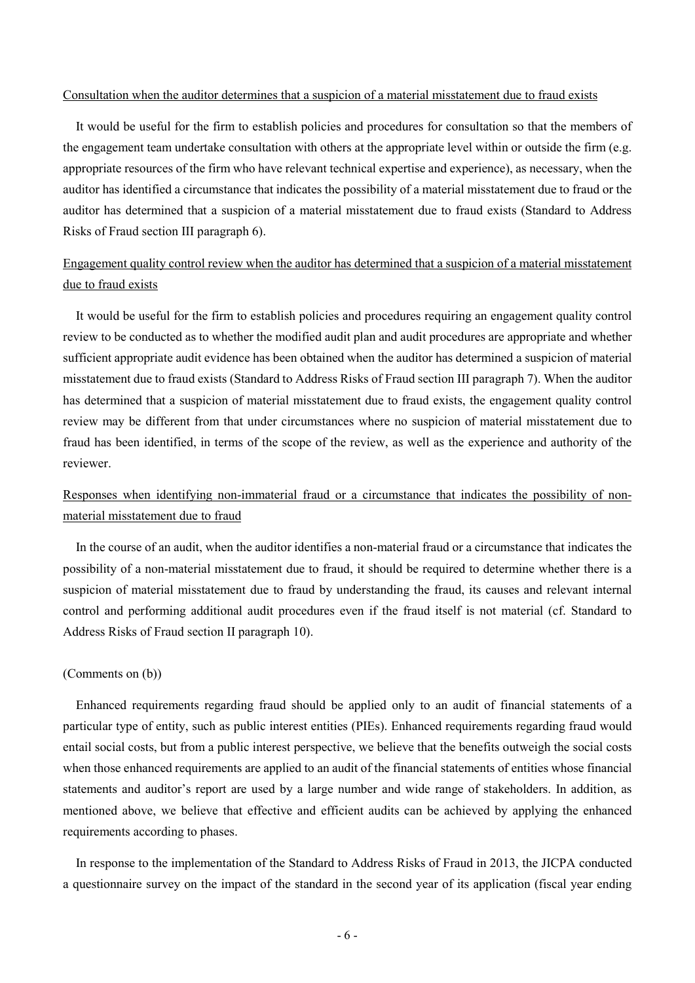#### Consultation when the auditor determines that a suspicion of a material misstatement due to fraud exists

It would be useful for the firm to establish policies and procedures for consultation so that the members of the engagement team undertake consultation with others at the appropriate level within or outside the firm (e.g. appropriate resources of the firm who have relevant technical expertise and experience), as necessary, when the auditor has identified a circumstance that indicates the possibility of a material misstatement due to fraud or the auditor has determined that a suspicion of a material misstatement due to fraud exists (Standard to Address Risks of Fraud section III paragraph 6).

# Engagement quality control review when the auditor has determined that a suspicion of a material misstatement due to fraud exists

It would be useful for the firm to establish policies and procedures requiring an engagement quality control review to be conducted as to whether the modified audit plan and audit procedures are appropriate and whether sufficient appropriate audit evidence has been obtained when the auditor has determined a suspicion of material misstatement due to fraud exists (Standard to Address Risks of Fraud section III paragraph 7). When the auditor has determined that a suspicion of material misstatement due to fraud exists, the engagement quality control review may be different from that under circumstances where no suspicion of material misstatement due to fraud has been identified, in terms of the scope of the review, as well as the experience and authority of the reviewer.

# Responses when identifying non-immaterial fraud or a circumstance that indicates the possibility of nonmaterial misstatement due to fraud

In the course of an audit, when the auditor identifies a non-material fraud or a circumstance that indicates the possibility of a non-material misstatement due to fraud, it should be required to determine whether there is a suspicion of material misstatement due to fraud by understanding the fraud, its causes and relevant internal control and performing additional audit procedures even if the fraud itself is not material (cf. Standard to Address Risks of Fraud section II paragraph 10).

## (Comments on (b))

Enhanced requirements regarding fraud should be applied only to an audit of financial statements of a particular type of entity, such as public interest entities (PIEs). Enhanced requirements regarding fraud would entail social costs, but from a public interest perspective, we believe that the benefits outweigh the social costs when those enhanced requirements are applied to an audit of the financial statements of entities whose financial statements and auditor's report are used by a large number and wide range of stakeholders. In addition, as mentioned above, we believe that effective and efficient audits can be achieved by applying the enhanced requirements according to phases.

In response to the implementation of the Standard to Address Risks of Fraud in 2013, the JICPA conducted a questionnaire survey on the impact of the standard in the second year of its application (fiscal year ending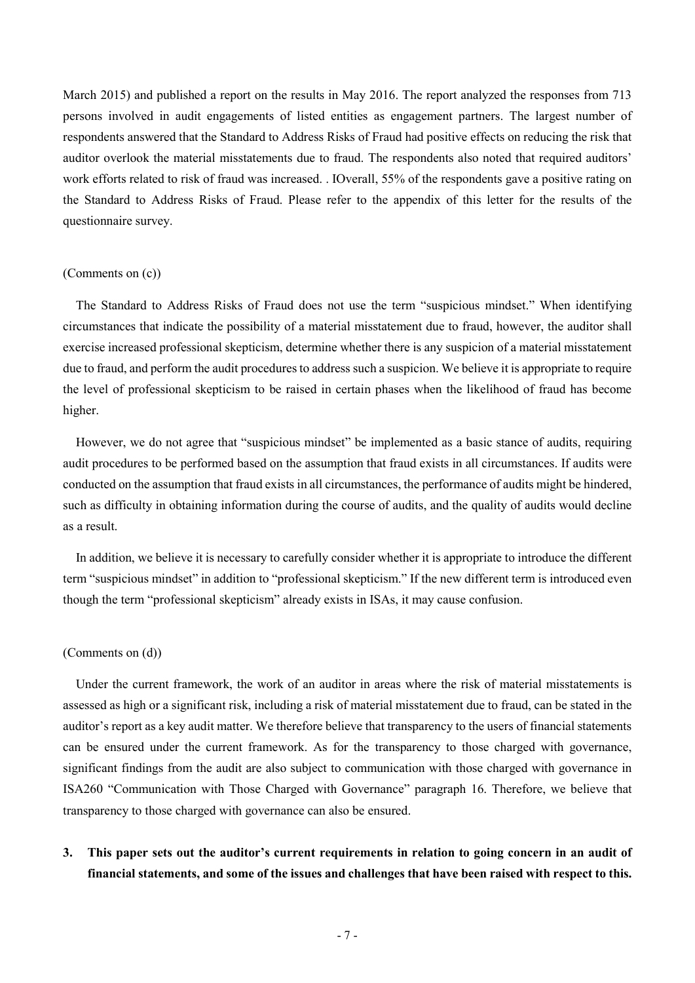March 2015) and published a report on the results in May 2016. The report analyzed the responses from 713 persons involved in audit engagements of listed entities as engagement partners. The largest number of respondents answered that the Standard to Address Risks of Fraud had positive effects on reducing the risk that auditor overlook the material misstatements due to fraud. The respondents also noted that required auditors' work efforts related to risk of fraud was increased. . IOverall, 55% of the respondents gave a positive rating on the Standard to Address Risks of Fraud. Please refer to the appendix of this letter for the results of the questionnaire survey.

## (Comments on (c))

The Standard to Address Risks of Fraud does not use the term "suspicious mindset." When identifying circumstances that indicate the possibility of a material misstatement due to fraud, however, the auditor shall exercise increased professional skepticism, determine whether there is any suspicion of a material misstatement due to fraud, and perform the audit procedures to address such a suspicion. We believe it is appropriate to require the level of professional skepticism to be raised in certain phases when the likelihood of fraud has become higher.

However, we do not agree that "suspicious mindset" be implemented as a basic stance of audits, requiring audit procedures to be performed based on the assumption that fraud exists in all circumstances. If audits were conducted on the assumption that fraud exists in all circumstances, the performance of audits might be hindered, such as difficulty in obtaining information during the course of audits, and the quality of audits would decline as a result.

In addition, we believe it is necessary to carefully consider whether it is appropriate to introduce the different term "suspicious mindset" in addition to "professional skepticism." If the new different term is introduced even though the term "professional skepticism" already exists in ISAs, it may cause confusion.

#### (Comments on (d))

Under the current framework, the work of an auditor in areas where the risk of material misstatements is assessed as high or a significant risk, including a risk of material misstatement due to fraud, can be stated in the auditor's report as a key audit matter. We therefore believe that transparency to the users of financial statements can be ensured under the current framework. As for the transparency to those charged with governance, significant findings from the audit are also subject to communication with those charged with governance in ISA260 "Communication with Those Charged with Governance" paragraph 16. Therefore, we believe that transparency to those charged with governance can also be ensured.

# **3. This paper sets out the auditor's current requirements in relation to going concern in an audit of financial statements, and some of the issues and challenges that have been raised with respect to this.**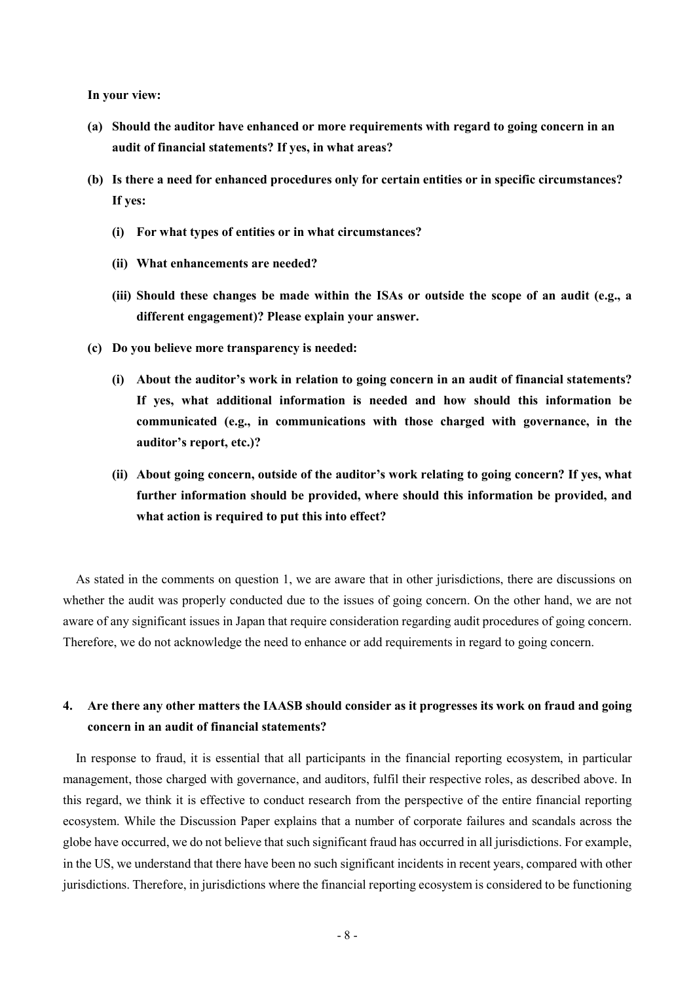**In your view:**

- **(a) Should the auditor have enhanced or more requirements with regard to going concern in an audit of financial statements? If yes, in what areas?**
- **(b) Is there a need for enhanced procedures only for certain entities or in specific circumstances? If yes:**
	- **(i) For what types of entities or in what circumstances?**
	- **(ii) What enhancements are needed?**
	- **(iii) Should these changes be made within the ISAs or outside the scope of an audit (e.g., a different engagement)? Please explain your answer.**
- **(c) Do you believe more transparency is needed:**
	- **(i) About the auditor's work in relation to going concern in an audit of financial statements? If yes, what additional information is needed and how should this information be communicated (e.g., in communications with those charged with governance, in the auditor's report, etc.)?**
	- **(ii) About going concern, outside of the auditor's work relating to going concern? If yes, what further information should be provided, where should this information be provided, and what action is required to put this into effect?**

As stated in the comments on question 1, we are aware that in other jurisdictions, there are discussions on whether the audit was properly conducted due to the issues of going concern. On the other hand, we are not aware of any significant issues in Japan that require consideration regarding audit procedures of going concern. Therefore, we do not acknowledge the need to enhance or add requirements in regard to going concern.

## **4. Are there any other matters the IAASB should consider as it progresses its work on fraud and going concern in an audit of financial statements?**

In response to fraud, it is essential that all participants in the financial reporting ecosystem, in particular management, those charged with governance, and auditors, fulfil their respective roles, as described above. In this regard, we think it is effective to conduct research from the perspective of the entire financial reporting ecosystem. While the Discussion Paper explains that a number of corporate failures and scandals across the globe have occurred, we do not believe that such significant fraud has occurred in all jurisdictions. For example, in the US, we understand that there have been no such significant incidents in recent years, compared with other jurisdictions. Therefore, in jurisdictions where the financial reporting ecosystem is considered to be functioning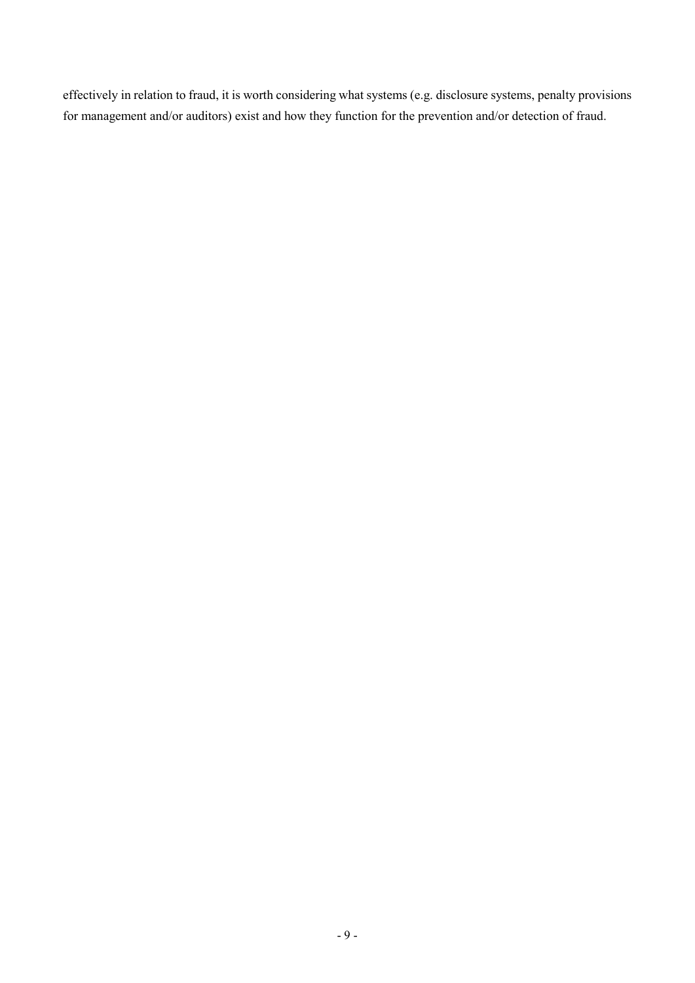effectively in relation to fraud, it is worth considering what systems (e.g. disclosure systems, penalty provisions for management and/or auditors) exist and how they function for the prevention and/or detection of fraud.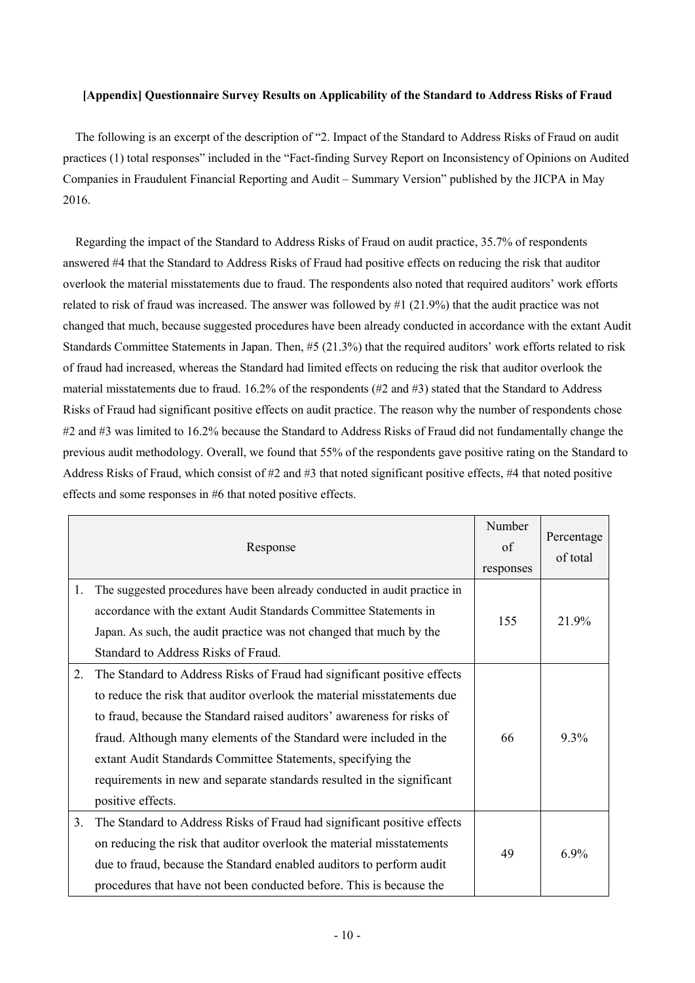### **[Appendix] Questionnaire Survey Results on Applicability of the Standard to Address Risks of Fraud**

The following is an excerpt of the description of "2. Impact of the Standard to Address Risks of Fraud on audit practices (1) total responses" included in the "Fact-finding Survey Report on Inconsistency of Opinions on Audited Companies in Fraudulent Financial Reporting and Audit – Summary Version" published by the JICPA in May 2016.

Regarding the impact of the Standard to Address Risks of Fraud on audit practice, 35.7% of respondents answered #4 that the Standard to Address Risks of Fraud had positive effects on reducing the risk that auditor overlook the material misstatements due to fraud. The respondents also noted that required auditors' work efforts related to risk of fraud was increased. The answer was followed by #1 (21.9%) that the audit practice was not changed that much, because suggested procedures have been already conducted in accordance with the extant Audit Standards Committee Statements in Japan. Then, #5 (21.3%) that the required auditors' work efforts related to risk of fraud had increased, whereas the Standard had limited effects on reducing the risk that auditor overlook the material misstatements due to fraud. 16.2% of the respondents (#2 and #3) stated that the Standard to Address Risks of Fraud had significant positive effects on audit practice. The reason why the number of respondents chose #2 and #3 was limited to 16.2% because the Standard to Address Risks of Fraud did not fundamentally change the previous audit methodology. Overall, we found that 55% of the respondents gave positive rating on the Standard to Address Risks of Fraud, which consist of #2 and #3 that noted significant positive effects, #4 that noted positive effects and some responses in #6 that noted positive effects.

|    | Response                                                                                                                                                                                                                                                                                                                                                                                                                                                         | Number<br>of<br>responses | Percentage<br>of total |
|----|------------------------------------------------------------------------------------------------------------------------------------------------------------------------------------------------------------------------------------------------------------------------------------------------------------------------------------------------------------------------------------------------------------------------------------------------------------------|---------------------------|------------------------|
| 1. | The suggested procedures have been already conducted in audit practice in<br>accordance with the extant Audit Standards Committee Statements in<br>Japan. As such, the audit practice was not changed that much by the<br>Standard to Address Risks of Fraud.                                                                                                                                                                                                    | 155                       | 21.9%                  |
| 2. | The Standard to Address Risks of Fraud had significant positive effects<br>to reduce the risk that auditor overlook the material misstatements due<br>to fraud, because the Standard raised auditors' awareness for risks of<br>fraud. Although many elements of the Standard were included in the<br>extant Audit Standards Committee Statements, specifying the<br>requirements in new and separate standards resulted in the significant<br>positive effects. | 66                        | 9.3%                   |
| 3. | The Standard to Address Risks of Fraud had significant positive effects<br>on reducing the risk that auditor overlook the material misstatements<br>due to fraud, because the Standard enabled auditors to perform audit<br>procedures that have not been conducted before. This is because the                                                                                                                                                                  | 49                        | 6.9%                   |